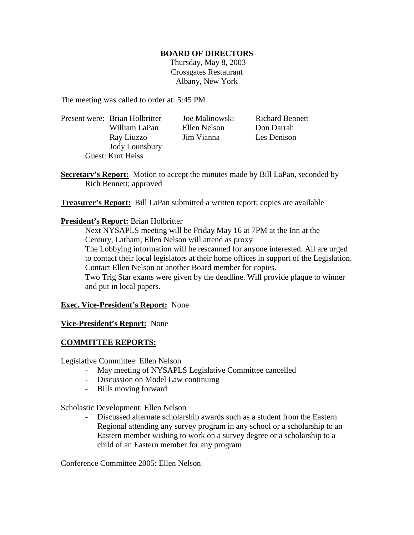## **BOARD OF DIRECTORS**

 Thursday, May 8, 2003 Crossgates Restaurant Albany, New York

The meeting was called to order at: 5:45 PM

Present were: Brian Holbritter Joe Malinowski Richard Bennett William LaPan Ellen Nelson Don Darrah Ray Liuzzo Jim Vianna Les Denison Jody Lounsbury Guest: Kurt Heiss

**Secretary's Report:** Motion to accept the minutes made by Bill LaPan, seconded by Rich Bennett; approved

**Treasurer's Report:** Bill LaPan submitted a written report; copies are available

# **President's Report:** Brian Holbritter

Next NYSAPLS meeting will be Friday May 16 at 7PM at the Inn at the Century, Latham; Ellen Nelson will attend as proxy The Lobbying information will be rescanned for anyone interested. All are urged to contact their local legislators at their home offices in support of the Legislation. Contact Ellen Nelson or another Board member for copies. Two Trig Star exams were given by the deadline. Will provide plaque to winner and put in local papers.

# **Exec. Vice-President's Report:** None

# **Vice-President's Report:** None

# **COMMITTEE REPORTS:**

Legislative Committee: Ellen Nelson

- May meeting of NYSAPLS Legislative Committee cancelled
- Discussion on Model Law continuing
- Bills moving forward

Scholastic Development: Ellen Nelson

- Discussed alternate scholarship awards such as a student from the Eastern Regional attending any survey program in any school or a scholarship to an Eastern member wishing to work on a survey degree or a scholarship to a child of an Eastern member for any program

Conference Committee 2005: Ellen Nelson